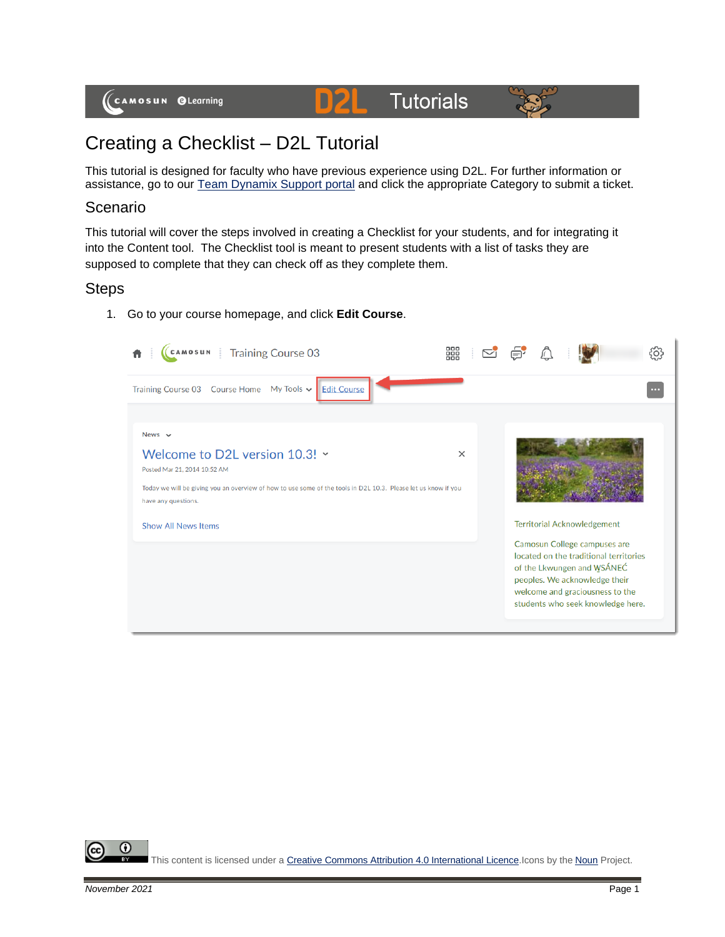# **Tutorials**



# Creating a Checklist – D2L Tutorial

This tutorial is designed for faculty who have previous experience using D2L. For further information or assistance, go to our [Team Dynamix Support portal](https://camosun.teamdynamix.com/TDClient/67/Portal/Requests/ServiceCatalog?CategoryID=523) and click the appropriate Category to submit a ticket.

D

#### Scenario

This tutorial will cover the steps involved in creating a Checklist for your students, and for integrating it into the Content tool. The Checklist tool is meant to present students with a list of tasks they are supposed to complete that they can check off as they complete them.

### **Steps**

1. Go to your course homepage, and click **Edit Course**.



⋒ This content is licensed under [a Creative Commons Attribution 4.0 International Licence.I](https://creativecommons.org/licenses/by/4.0/)cons by the [Noun](https://creativecommons.org/website-icons/) Project.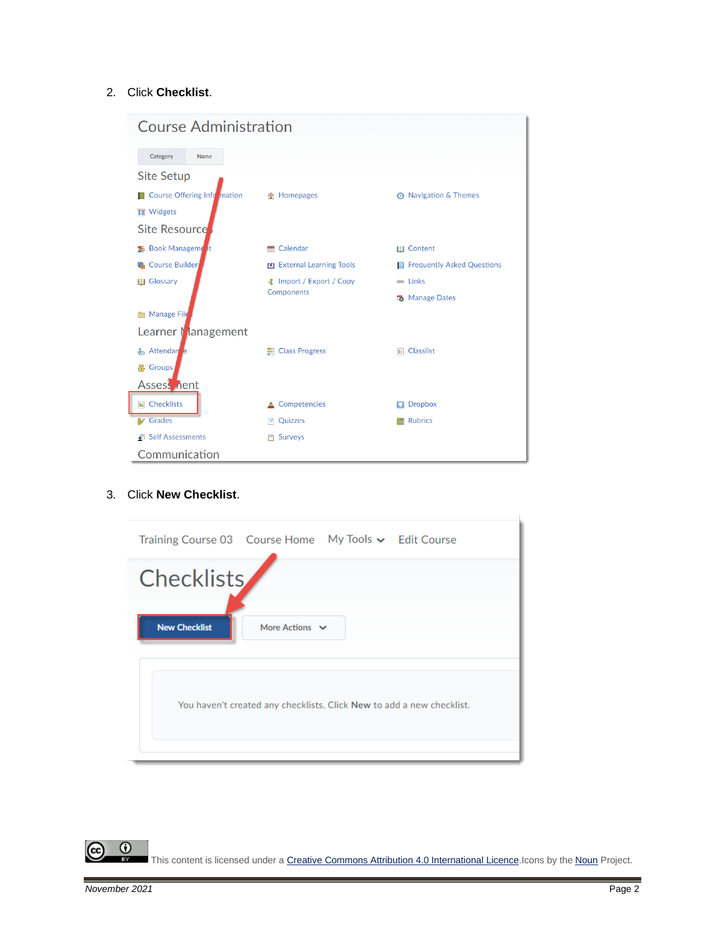#### 2. Click **Checklist**.



#### 3. Click **New Checklist**.

| Training Course 03    Course Home    My Tools v    Edit Course |                                                                       |  |
|----------------------------------------------------------------|-----------------------------------------------------------------------|--|
| <b>Checklists</b>                                              |                                                                       |  |
| <b>New Checklist</b>                                           | More Actions $\vee$                                                   |  |
|                                                                |                                                                       |  |
|                                                                | You haven't created any checklists. Click New to add a new checklist. |  |
|                                                                |                                                                       |  |

 $\overline{0}$ This content is licensed under [a Creative Commons Attribution 4.0 International Licence.I](https://creativecommons.org/licenses/by/4.0/)cons by the [Noun](https://creativecommons.org/website-icons/) Project.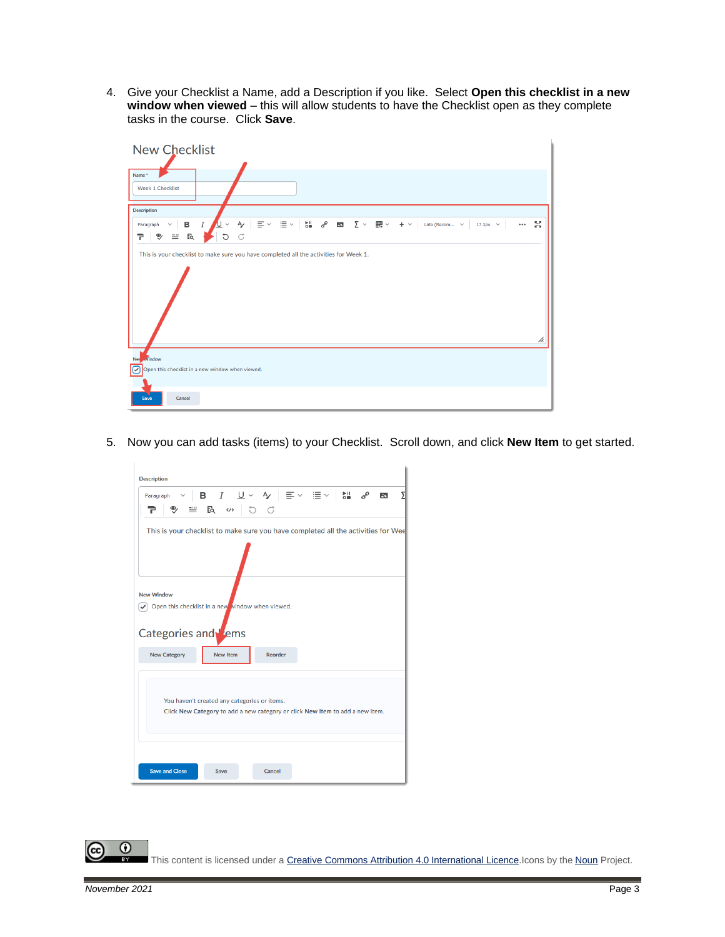4. Give your Checklist a Name, add a Description if you like. Select **Open this checklist in a new window when viewed** – this will allow students to have the Checklist open as they complete tasks in the course. Click **Save**.

| <b>New Checklist</b>                                                                                                                                                                                                                                                                                                                                                                                                                                                                                                                                                                                                                                                                                                                                                                                                                   |
|----------------------------------------------------------------------------------------------------------------------------------------------------------------------------------------------------------------------------------------------------------------------------------------------------------------------------------------------------------------------------------------------------------------------------------------------------------------------------------------------------------------------------------------------------------------------------------------------------------------------------------------------------------------------------------------------------------------------------------------------------------------------------------------------------------------------------------------|
| Name*<br>Week 1 Checklist                                                                                                                                                                                                                                                                                                                                                                                                                                                                                                                                                                                                                                                                                                                                                                                                              |
| <b>Description</b>                                                                                                                                                                                                                                                                                                                                                                                                                                                                                                                                                                                                                                                                                                                                                                                                                     |
| $\mathop{\mathrm{Im}}\limits_{\mathop{\mathrm{on}}} \quad \mathop{\mathrm{op}}\limits^{\mathop{\mathrm{op}}\limits^{\mathop{\mathrm{op}}\limits^{\mathop{\mathrm{op}}\limits^{\mathop{\mathrm{op}}\limits^{\mathop{\mathrm{op}}\limits^{\mathop{\mathrm{op}}\limits^{\mathop{\mathrm{op}}\limits^{\mathop{\mathrm{op}}\limits^{\mathop{\mathrm{op}}\limits^{\mathop{\mathrm{op}}\limits^{\mathop{\mathrm{op}}\limits^{\mathop{\mathrm{op}}\limits^{\mathop{\mathrm{op}}\limits^{\mathop{\mathrm{op}}\limits^{\mathop{\mathrm{op}}\limits^{\mathop{\mathrm{op}}\limits^{\mathop{\mathrm{op}}\limits^{\$<br>ŖЯ.<br>$\equiv$ $\sim$<br>$\Xi$ $\sim$<br>$\overline{I}$<br>в<br>A<br>∠<br>$+$ $\vee$<br>Lato (Recom ~<br>$\checkmark$<br>$\cdots$<br>$17.1px \sim$<br>Paragraph<br>$\checkmark$<br>$E_{Q}$<br>G<br>đ<br>❤<br>$\equiv$<br>Ŧ. |
| This is your checklist to make sure you have completed all the activities for Week 1.<br>h.                                                                                                                                                                                                                                                                                                                                                                                                                                                                                                                                                                                                                                                                                                                                            |
| New window                                                                                                                                                                                                                                                                                                                                                                                                                                                                                                                                                                                                                                                                                                                                                                                                                             |
| Open this checklist in a new window when viewed.<br>☞                                                                                                                                                                                                                                                                                                                                                                                                                                                                                                                                                                                                                                                                                                                                                                                  |
| Cancel<br>Save                                                                                                                                                                                                                                                                                                                                                                                                                                                                                                                                                                                                                                                                                                                                                                                                                         |

5. Now you can add tasks (items) to your Checklist. Scroll down, and click **New Item** to get started.

|                                                                                             | Paragraph $\vee$ <b>B</b> $I$ $\underline{\cup} \vee$ $A$ $\equiv$ $\vee$ $\equiv$ $\vee$ $\equiv$ $\vee$ $\parallel$ $\underline{\sim}$ $\underline{\sim}$<br>$P$ = $R$ $\omega$ 0 $C$ |                |  | $\mathbf{K}$ |
|---------------------------------------------------------------------------------------------|-----------------------------------------------------------------------------------------------------------------------------------------------------------------------------------------|----------------|--|--------------|
| This is your checklist to make sure you have completed all the activities for Wee           |                                                                                                                                                                                         |                |  |              |
| <b>New Window</b><br>Open this checklist in a new vindow when viewed.<br>Categories and ems |                                                                                                                                                                                         |                |  |              |
| <b>New Category</b>                                                                         | New Item                                                                                                                                                                                | <b>Reorder</b> |  |              |
|                                                                                             |                                                                                                                                                                                         |                |  |              |
|                                                                                             | You haven't created any categories or items.<br>Click New Category to add a new category or click New Item to add a new item.                                                           |                |  |              |

This content is licensed under [a Creative Commons Attribution 4.0 International Licence.I](https://creativecommons.org/licenses/by/4.0/)cons by the [Noun](https://creativecommons.org/website-icons/) Project.

 $\odot$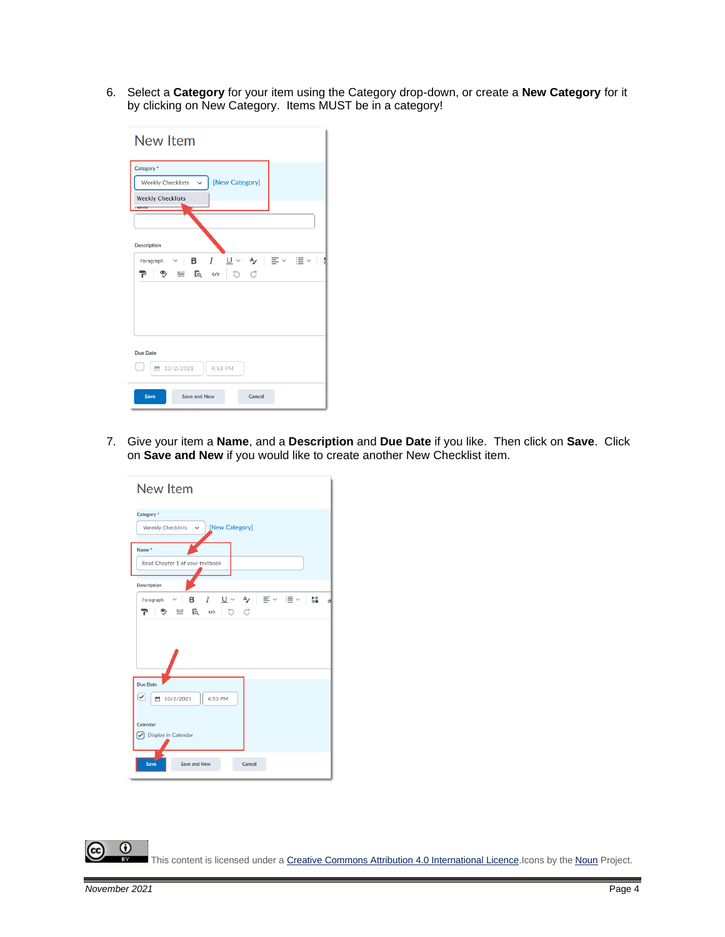6. Select a **Category** for your item using the Category drop-down, or create a **New Category** for it by clicking on New Category. Items MUST be in a category!

| <b>New Item</b>                                                                                                                    |
|------------------------------------------------------------------------------------------------------------------------------------|
| Category <sup>*</sup><br>[New Category]<br><b>Weekly Checklists</b><br>$\checkmark$<br><b>Weekly Checklists</b><br><b>IValitie</b> |
| <b>Description</b>                                                                                                                 |
| ◇ B / U◇ タ   I ◇ I II ◇   ∜<br>Paragraph<br>ラ 当 艮 の つ じ                                                                            |
|                                                                                                                                    |
| <b>Due Date</b><br>■ 10/2/2021<br>4:53 PM                                                                                          |
| Save<br>Save and New<br>Cancel                                                                                                     |

7. Give your item a **Name**, and a **Description** and **Due Date** if you like. Then click on **Save**. Click on **Save and New** if you would like to create another New Checklist item.

| <b>New Item</b>                                                                      |
|--------------------------------------------------------------------------------------|
| Category <sup>*</sup>                                                                |
| Weekly Checklists $\sim$ [New Category]                                              |
| Name <sup>*</sup>                                                                    |
| Read Chapter 1 of your textbook                                                      |
| <b>Description</b>                                                                   |
| - <i>Ⅰ</i> - ⊔ ▽ - Az │ 를 ▽ - 를 ▽ │ 해<br>в<br>Paragraph<br>d<br>≞ 長 ∽ り ぴ<br>୭∕<br>P |
| <b>Due Date</b>                                                                      |
| ✓<br>■ 10/2/2021<br>4:53 PM                                                          |
| Calendar<br>Display in Calendar                                                      |
| <b>Save</b><br>Save and New<br>Cancel                                                |

 $\overline{0}$ This content is licensed under [a Creative Commons Attribution 4.0 International Licence.I](https://creativecommons.org/licenses/by/4.0/)cons by the [Noun](https://creativecommons.org/website-icons/) Project.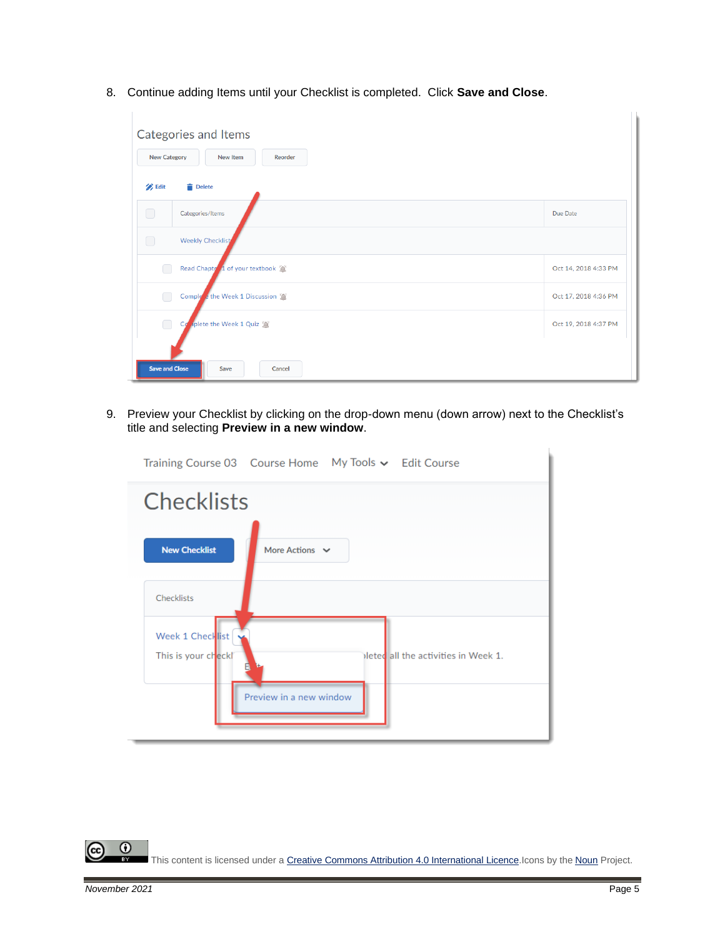8. Continue adding Items until your Checklist is completed. Click **Save and Close**.

| Categories and Items<br><b>New Category</b><br><b>New Item</b><br>Reorder |                      |
|---------------------------------------------------------------------------|----------------------|
| <b>B</b> Edit<br>Delete                                                   |                      |
| $\Box$<br>Categories/Items                                                | Due Date             |
| <b>Weekly Checklist</b><br>∩                                              |                      |
| Read Chapter 1 of your textbook                                           | Oct 14, 2018 4:33 PM |
| Complete the Week 1 Discussion                                            | Oct 17, 2018 4:36 PM |
| $\Box$<br>Complete the Week 1 Quiz                                        | Oct 19, 2018 4:37 PM |
| <b>Save and Close</b><br>Save<br>Cancel                                   |                      |

9. Preview your Checklist by clicking on the drop-down menu (down arrow) next to the Checklist's title and selecting **Preview in a new window**.

| Training Course 03    Course Home    My Tools v    Edit Course                       |
|--------------------------------------------------------------------------------------|
| <b>Checklists</b>                                                                    |
| <b>New Checklist</b><br>More Actions $\vee$                                          |
| Checklists                                                                           |
| Week 1 Checklist<br>ileted all the activities in Week 1.<br>This is your checkl<br>E |
| Preview in a new window                                                              |

 $\overline{\odot}$ (cc This content is licensed under [a Creative Commons Attribution 4.0 International Licence.I](https://creativecommons.org/licenses/by/4.0/)cons by the [Noun](https://creativecommons.org/website-icons/) Project.